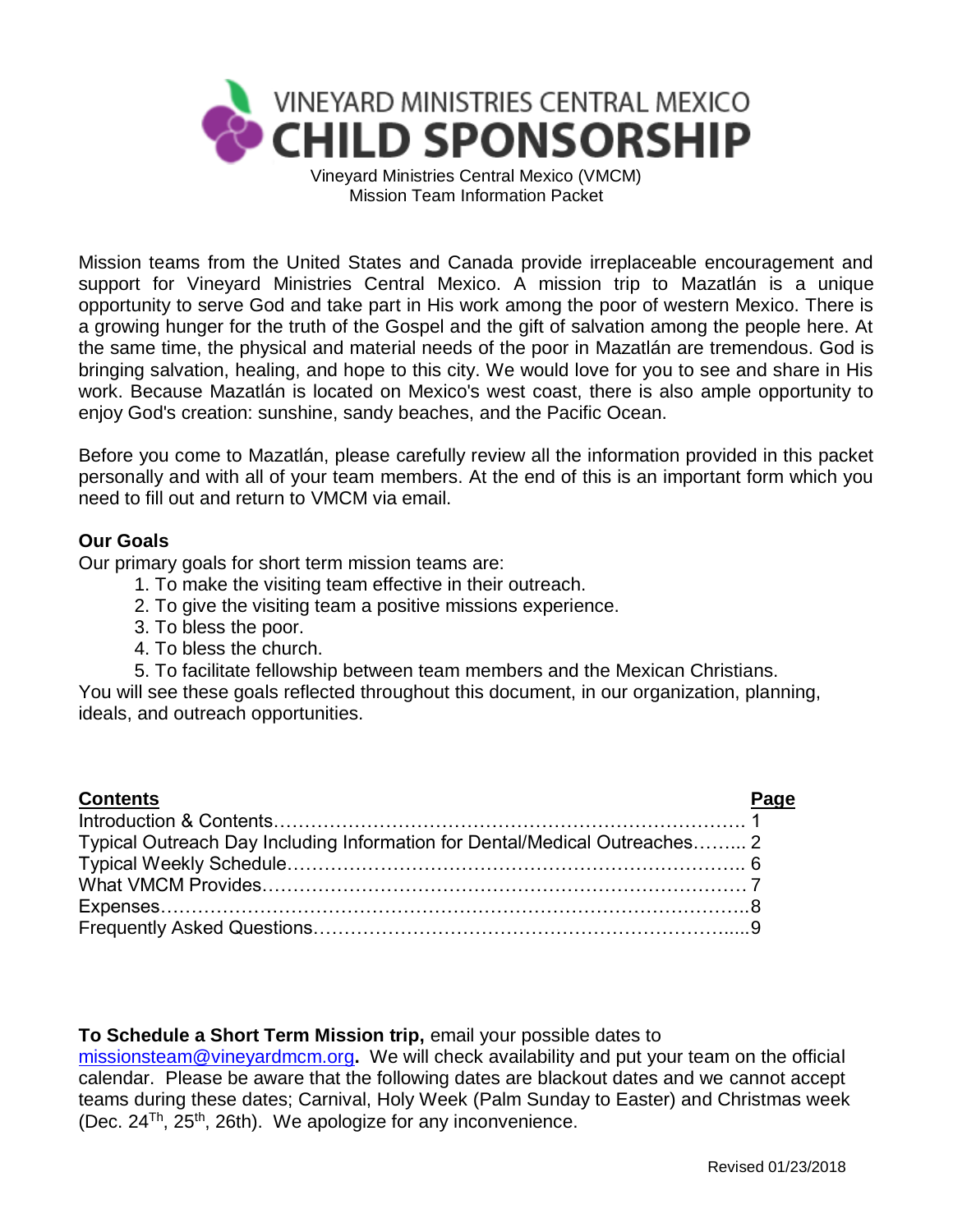

Mission Team Information Packet

Mission teams from the United States and Canada provide irreplaceable encouragement and support for Vineyard Ministries Central Mexico. A mission trip to Mazatlán is a unique opportunity to serve God and take part in His work among the poor of western Mexico. There is a growing hunger for the truth of the Gospel and the gift of salvation among the people here. At the same time, the physical and material needs of the poor in Mazatlán are tremendous. God is bringing salvation, healing, and hope to this city. We would love for you to see and share in His work. Because Mazatlán is located on Mexico's west coast, there is also ample opportunity to enjoy God's creation: sunshine, sandy beaches, and the Pacific Ocean.

Before you come to Mazatlán, please carefully review all the information provided in this packet personally and with all of your team members. At the end of this is an important form which you need to fill out and return to VMCM via email.

## **Our Goals**

Our primary goals for short term mission teams are:

- 1. To make the visiting team effective in their outreach.
- 2. To give the visiting team a positive missions experience.
- 3. To bless the poor.
- 4. To bless the church.
- 5. To facilitate fellowship between team members and the Mexican Christians.

You will see these goals reflected throughout this document, in our organization, planning, ideals, and outreach opportunities.

| <b>Contents</b>                                                            |  |
|----------------------------------------------------------------------------|--|
|                                                                            |  |
| Typical Outreach Day Including Information for Dental/Medical Outreaches 2 |  |
|                                                                            |  |
|                                                                            |  |
|                                                                            |  |
|                                                                            |  |

# **To Schedule a Short Term Mission trip,** email your possible dates to

[missionsteam@vineyardmcm.org](mailto:missionsteam@vineyardmcm.org)**.** We will check availability and put your team on the official calendar. Please be aware that the following dates are blackout dates and we cannot accept teams during these dates; Carnival, Holy Week (Palm Sunday to Easter) and Christmas week (Dec. 24Th, 25th, 26th). We apologize for any inconvenience.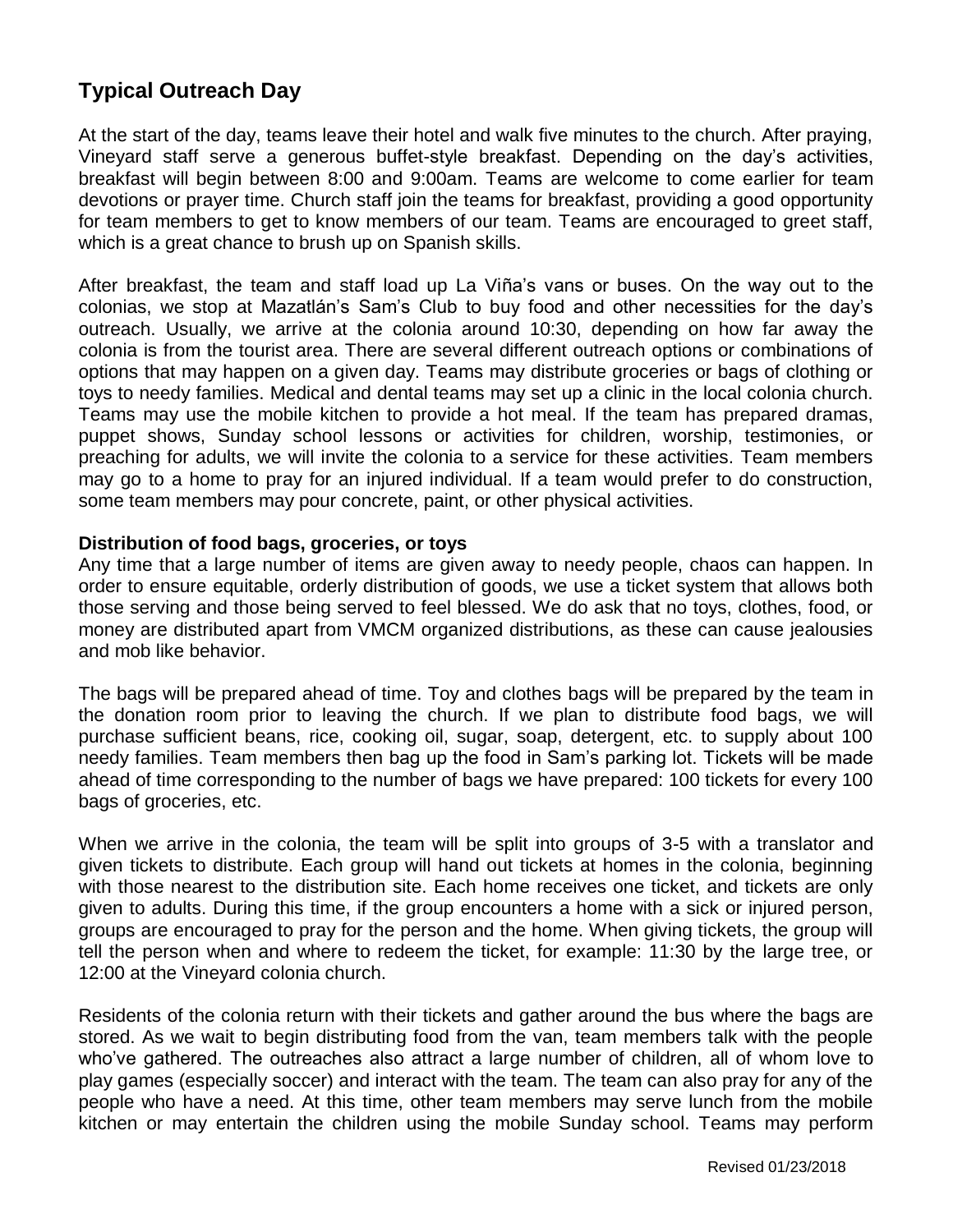# **Typical Outreach Day**

At the start of the day, teams leave their hotel and walk five minutes to the church. After praying, Vineyard staff serve a generous buffet-style breakfast. Depending on the day's activities, breakfast will begin between 8:00 and 9:00am. Teams are welcome to come earlier for team devotions or prayer time. Church staff join the teams for breakfast, providing a good opportunity for team members to get to know members of our team. Teams are encouraged to greet staff, which is a great chance to brush up on Spanish skills.

After breakfast, the team and staff load up La Viña's vans or buses. On the way out to the colonias, we stop at Mazatlán's Sam's Club to buy food and other necessities for the day's outreach. Usually, we arrive at the colonia around 10:30, depending on how far away the colonia is from the tourist area. There are several different outreach options or combinations of options that may happen on a given day. Teams may distribute groceries or bags of clothing or toys to needy families. Medical and dental teams may set up a clinic in the local colonia church. Teams may use the mobile kitchen to provide a hot meal. If the team has prepared dramas, puppet shows, Sunday school lessons or activities for children, worship, testimonies, or preaching for adults, we will invite the colonia to a service for these activities. Team members may go to a home to pray for an injured individual. If a team would prefer to do construction, some team members may pour concrete, paint, or other physical activities.

## **Distribution of food bags, groceries, or toys**

Any time that a large number of items are given away to needy people, chaos can happen. In order to ensure equitable, orderly distribution of goods, we use a ticket system that allows both those serving and those being served to feel blessed. We do ask that no toys, clothes, food, or money are distributed apart from VMCM organized distributions, as these can cause jealousies and mob like behavior.

The bags will be prepared ahead of time. Toy and clothes bags will be prepared by the team in the donation room prior to leaving the church. If we plan to distribute food bags, we will purchase sufficient beans, rice, cooking oil, sugar, soap, detergent, etc. to supply about 100 needy families. Team members then bag up the food in Sam's parking lot. Tickets will be made ahead of time corresponding to the number of bags we have prepared: 100 tickets for every 100 bags of groceries, etc.

When we arrive in the colonia, the team will be split into groups of 3-5 with a translator and given tickets to distribute. Each group will hand out tickets at homes in the colonia, beginning with those nearest to the distribution site. Each home receives one ticket, and tickets are only given to adults. During this time, if the group encounters a home with a sick or injured person, groups are encouraged to pray for the person and the home. When giving tickets, the group will tell the person when and where to redeem the ticket, for example: 11:30 by the large tree, or 12:00 at the Vineyard colonia church.

Residents of the colonia return with their tickets and gather around the bus where the bags are stored. As we wait to begin distributing food from the van, team members talk with the people who've gathered. The outreaches also attract a large number of children, all of whom love to play games (especially soccer) and interact with the team. The team can also pray for any of the people who have a need. At this time, other team members may serve lunch from the mobile kitchen or may entertain the children using the mobile Sunday school. Teams may perform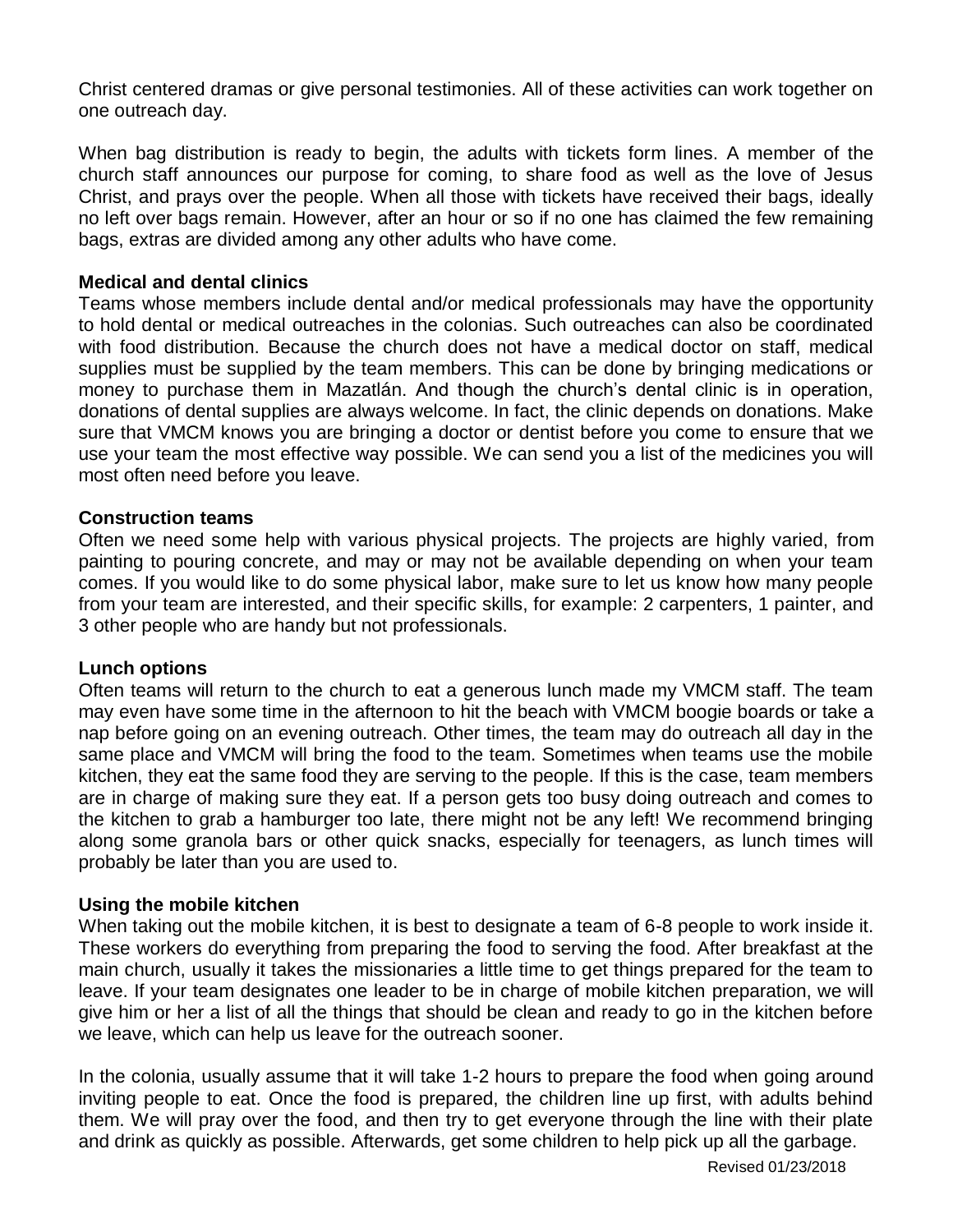Christ centered dramas or give personal testimonies. All of these activities can work together on one outreach day.

When bag distribution is ready to begin, the adults with tickets form lines. A member of the church staff announces our purpose for coming, to share food as well as the love of Jesus Christ, and prays over the people. When all those with tickets have received their bags, ideally no left over bags remain. However, after an hour or so if no one has claimed the few remaining bags, extras are divided among any other adults who have come.

## **Medical and dental clinics**

Teams whose members include dental and/or medical professionals may have the opportunity to hold dental or medical outreaches in the colonias. Such outreaches can also be coordinated with food distribution. Because the church does not have a medical doctor on staff, medical supplies must be supplied by the team members. This can be done by bringing medications or money to purchase them in Mazatlán. And though the church's dental clinic is in operation, donations of dental supplies are always welcome. In fact, the clinic depends on donations. Make sure that VMCM knows you are bringing a doctor or dentist before you come to ensure that we use your team the most effective way possible. We can send you a list of the medicines you will most often need before you leave.

## **Construction teams**

Often we need some help with various physical projects. The projects are highly varied, from painting to pouring concrete, and may or may not be available depending on when your team comes. If you would like to do some physical labor, make sure to let us know how many people from your team are interested, and their specific skills, for example: 2 carpenters, 1 painter, and 3 other people who are handy but not professionals.

#### **Lunch options**

Often teams will return to the church to eat a generous lunch made my VMCM staff. The team may even have some time in the afternoon to hit the beach with VMCM boogie boards or take a nap before going on an evening outreach. Other times, the team may do outreach all day in the same place and VMCM will bring the food to the team. Sometimes when teams use the mobile kitchen, they eat the same food they are serving to the people. If this is the case, team members are in charge of making sure they eat. If a person gets too busy doing outreach and comes to the kitchen to grab a hamburger too late, there might not be any left! We recommend bringing along some granola bars or other quick snacks, especially for teenagers, as lunch times will probably be later than you are used to.

# **Using the mobile kitchen**

When taking out the mobile kitchen, it is best to designate a team of 6-8 people to work inside it. These workers do everything from preparing the food to serving the food. After breakfast at the main church, usually it takes the missionaries a little time to get things prepared for the team to leave. If your team designates one leader to be in charge of mobile kitchen preparation, we will give him or her a list of all the things that should be clean and ready to go in the kitchen before we leave, which can help us leave for the outreach sooner.

In the colonia, usually assume that it will take 1-2 hours to prepare the food when going around inviting people to eat. Once the food is prepared, the children line up first, with adults behind them. We will pray over the food, and then try to get everyone through the line with their plate and drink as quickly as possible. Afterwards, get some children to help pick up all the garbage.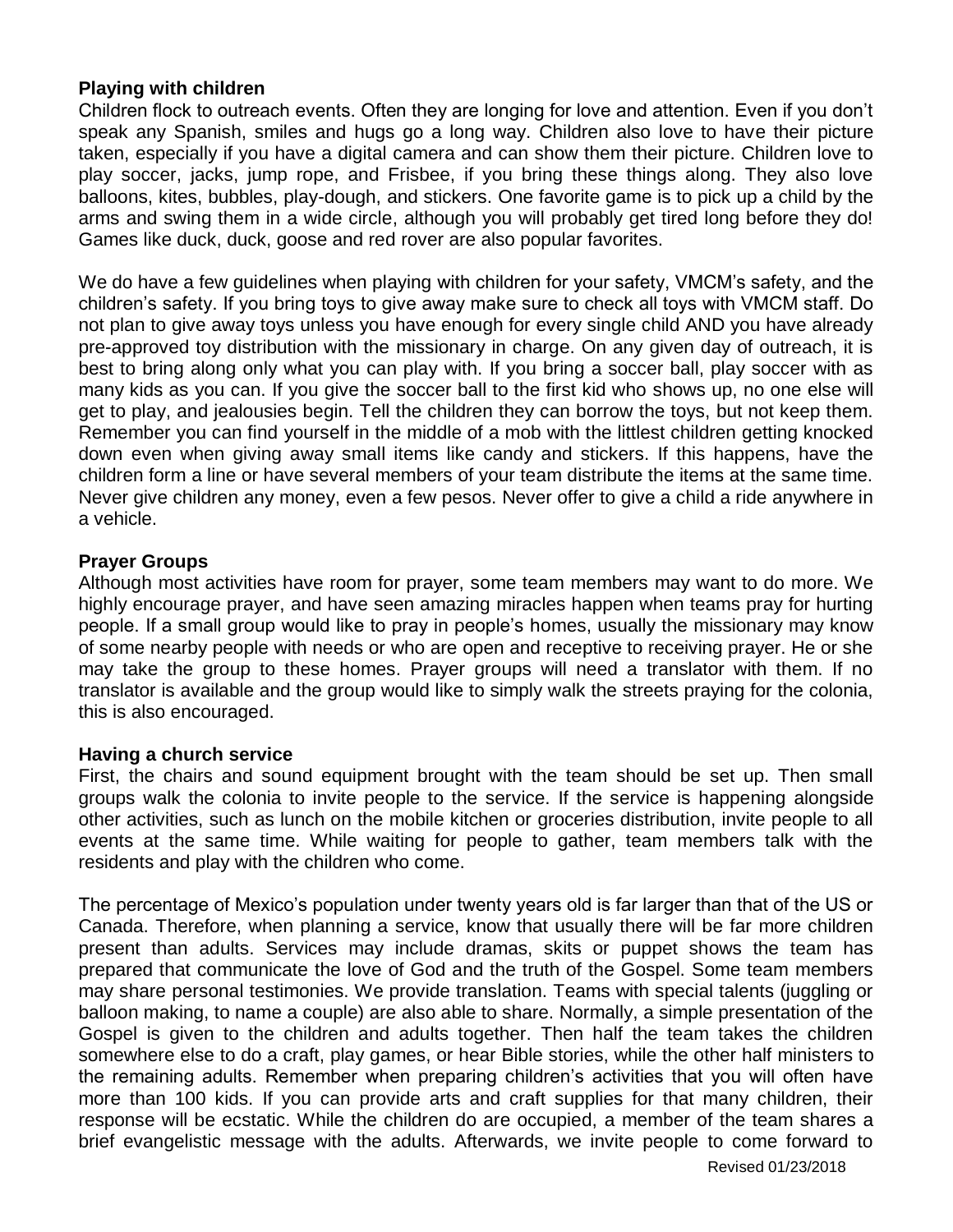## **Playing with children**

Children flock to outreach events. Often they are longing for love and attention. Even if you don't speak any Spanish, smiles and hugs go a long way. Children also love to have their picture taken, especially if you have a digital camera and can show them their picture. Children love to play soccer, jacks, jump rope, and Frisbee, if you bring these things along. They also love balloons, kites, bubbles, play-dough, and stickers. One favorite game is to pick up a child by the arms and swing them in a wide circle, although you will probably get tired long before they do! Games like duck, duck, goose and red rover are also popular favorites.

We do have a few guidelines when playing with children for your safety, VMCM's safety, and the children's safety. If you bring toys to give away make sure to check all toys with VMCM staff. Do not plan to give away toys unless you have enough for every single child AND you have already pre-approved toy distribution with the missionary in charge. On any given day of outreach, it is best to bring along only what you can play with. If you bring a soccer ball, play soccer with as many kids as you can. If you give the soccer ball to the first kid who shows up, no one else will get to play, and jealousies begin. Tell the children they can borrow the toys, but not keep them. Remember you can find yourself in the middle of a mob with the littlest children getting knocked down even when giving away small items like candy and stickers. If this happens, have the children form a line or have several members of your team distribute the items at the same time. Never give children any money, even a few pesos. Never offer to give a child a ride anywhere in a vehicle.

## **Prayer Groups**

Although most activities have room for prayer, some team members may want to do more. We highly encourage prayer, and have seen amazing miracles happen when teams pray for hurting people. If a small group would like to pray in people's homes, usually the missionary may know of some nearby people with needs or who are open and receptive to receiving prayer. He or she may take the group to these homes. Prayer groups will need a translator with them. If no translator is available and the group would like to simply walk the streets praying for the colonia, this is also encouraged.

#### **Having a church service**

First, the chairs and sound equipment brought with the team should be set up. Then small groups walk the colonia to invite people to the service. If the service is happening alongside other activities, such as lunch on the mobile kitchen or groceries distribution, invite people to all events at the same time. While waiting for people to gather, team members talk with the residents and play with the children who come.

The percentage of Mexico's population under twenty years old is far larger than that of the US or Canada. Therefore, when planning a service, know that usually there will be far more children present than adults. Services may include dramas, skits or puppet shows the team has prepared that communicate the love of God and the truth of the Gospel. Some team members may share personal testimonies. We provide translation. Teams with special talents (juggling or balloon making, to name a couple) are also able to share. Normally, a simple presentation of the Gospel is given to the children and adults together. Then half the team takes the children somewhere else to do a craft, play games, or hear Bible stories, while the other half ministers to the remaining adults. Remember when preparing children's activities that you will often have more than 100 kids. If you can provide arts and craft supplies for that many children, their response will be ecstatic. While the children do are occupied, a member of the team shares a brief evangelistic message with the adults. Afterwards, we invite people to come forward to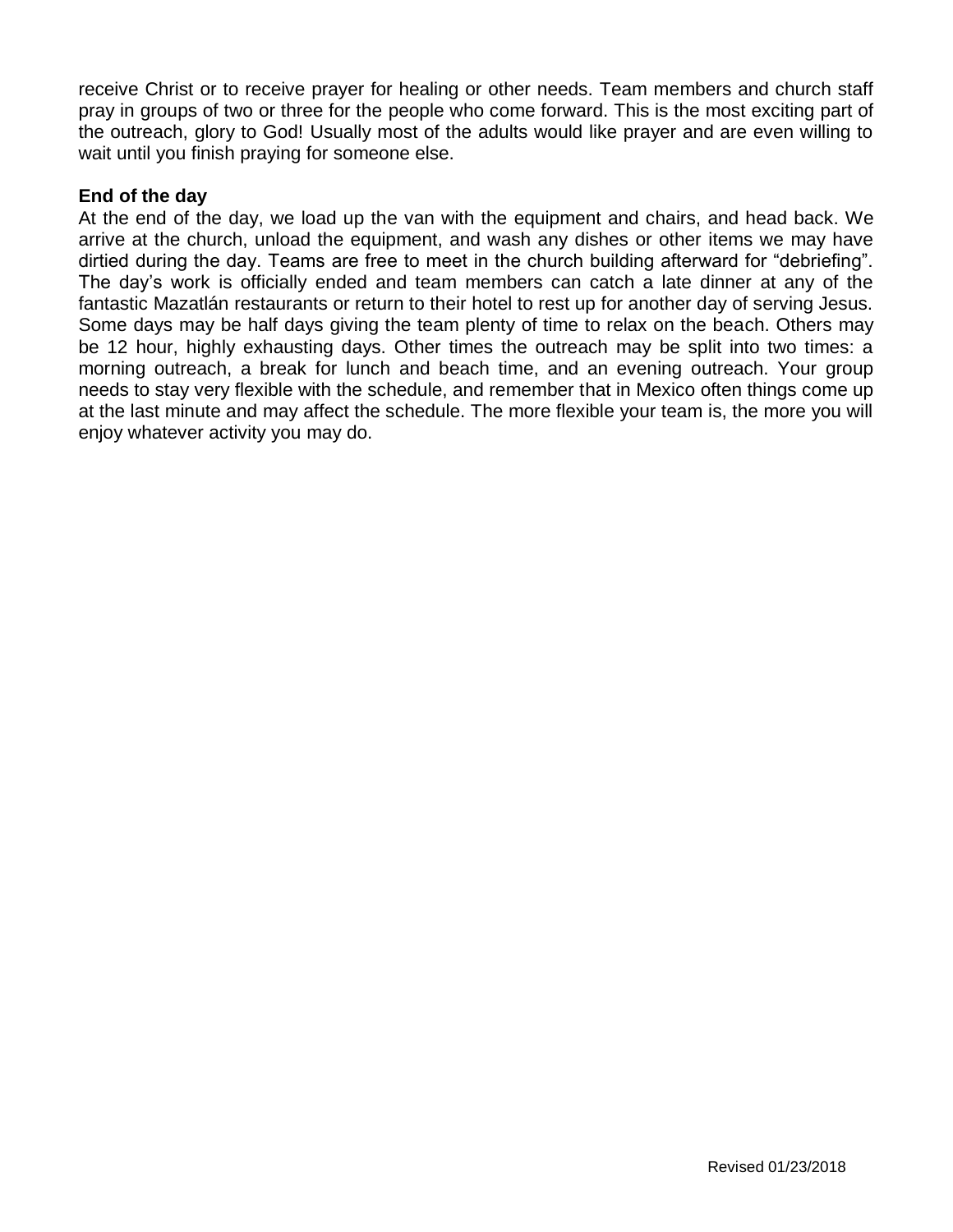receive Christ or to receive prayer for healing or other needs. Team members and church staff pray in groups of two or three for the people who come forward. This is the most exciting part of the outreach, glory to God! Usually most of the adults would like prayer and are even willing to wait until you finish praying for someone else.

# **End of the day**

At the end of the day, we load up the van with the equipment and chairs, and head back. We arrive at the church, unload the equipment, and wash any dishes or other items we may have dirtied during the day. Teams are free to meet in the church building afterward for "debriefing". The day's work is officially ended and team members can catch a late dinner at any of the fantastic Mazatlán restaurants or return to their hotel to rest up for another day of serving Jesus. Some days may be half days giving the team plenty of time to relax on the beach. Others may be 12 hour, highly exhausting days. Other times the outreach may be split into two times: a morning outreach, a break for lunch and beach time, and an evening outreach. Your group needs to stay very flexible with the schedule, and remember that in Mexico often things come up at the last minute and may affect the schedule. The more flexible your team is, the more you will enjoy whatever activity you may do.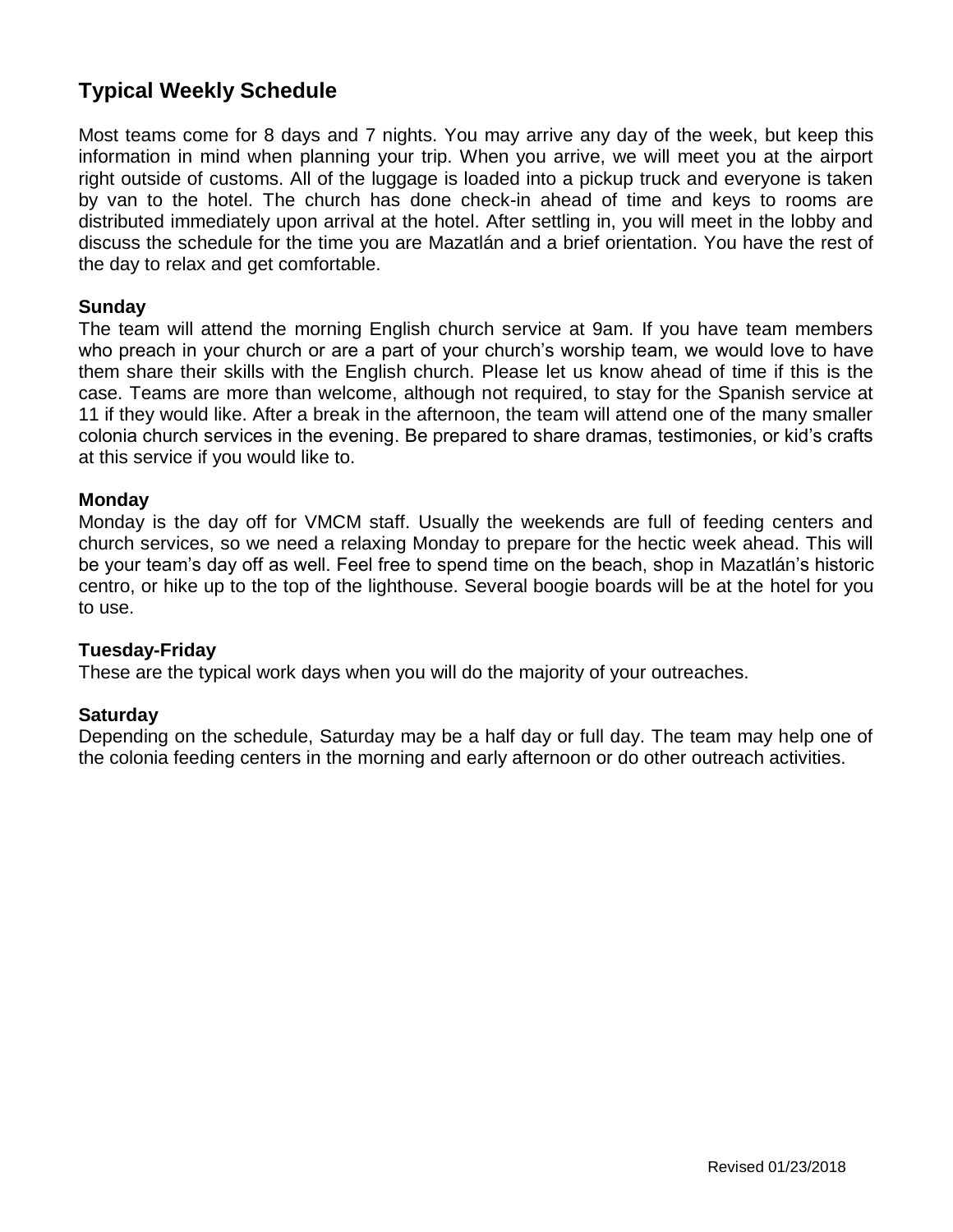# **Typical Weekly Schedule**

Most teams come for 8 days and 7 nights. You may arrive any day of the week, but keep this information in mind when planning your trip. When you arrive, we will meet you at the airport right outside of customs. All of the luggage is loaded into a pickup truck and everyone is taken by van to the hotel. The church has done check-in ahead of time and keys to rooms are distributed immediately upon arrival at the hotel. After settling in, you will meet in the lobby and discuss the schedule for the time you are Mazatlán and a brief orientation. You have the rest of the day to relax and get comfortable.

# **Sunday**

The team will attend the morning English church service at 9am. If you have team members who preach in your church or are a part of your church's worship team, we would love to have them share their skills with the English church. Please let us know ahead of time if this is the case. Teams are more than welcome, although not required, to stay for the Spanish service at 11 if they would like. After a break in the afternoon, the team will attend one of the many smaller colonia church services in the evening. Be prepared to share dramas, testimonies, or kid's crafts at this service if you would like to.

## **Monday**

Monday is the day off for VMCM staff. Usually the weekends are full of feeding centers and church services, so we need a relaxing Monday to prepare for the hectic week ahead. This will be your team's day off as well. Feel free to spend time on the beach, shop in Mazatlán's historic centro, or hike up to the top of the lighthouse. Several boogie boards will be at the hotel for you to use.

# **Tuesday-Friday**

These are the typical work days when you will do the majority of your outreaches.

# **Saturday**

Depending on the schedule, Saturday may be a half day or full day. The team may help one of the colonia feeding centers in the morning and early afternoon or do other outreach activities.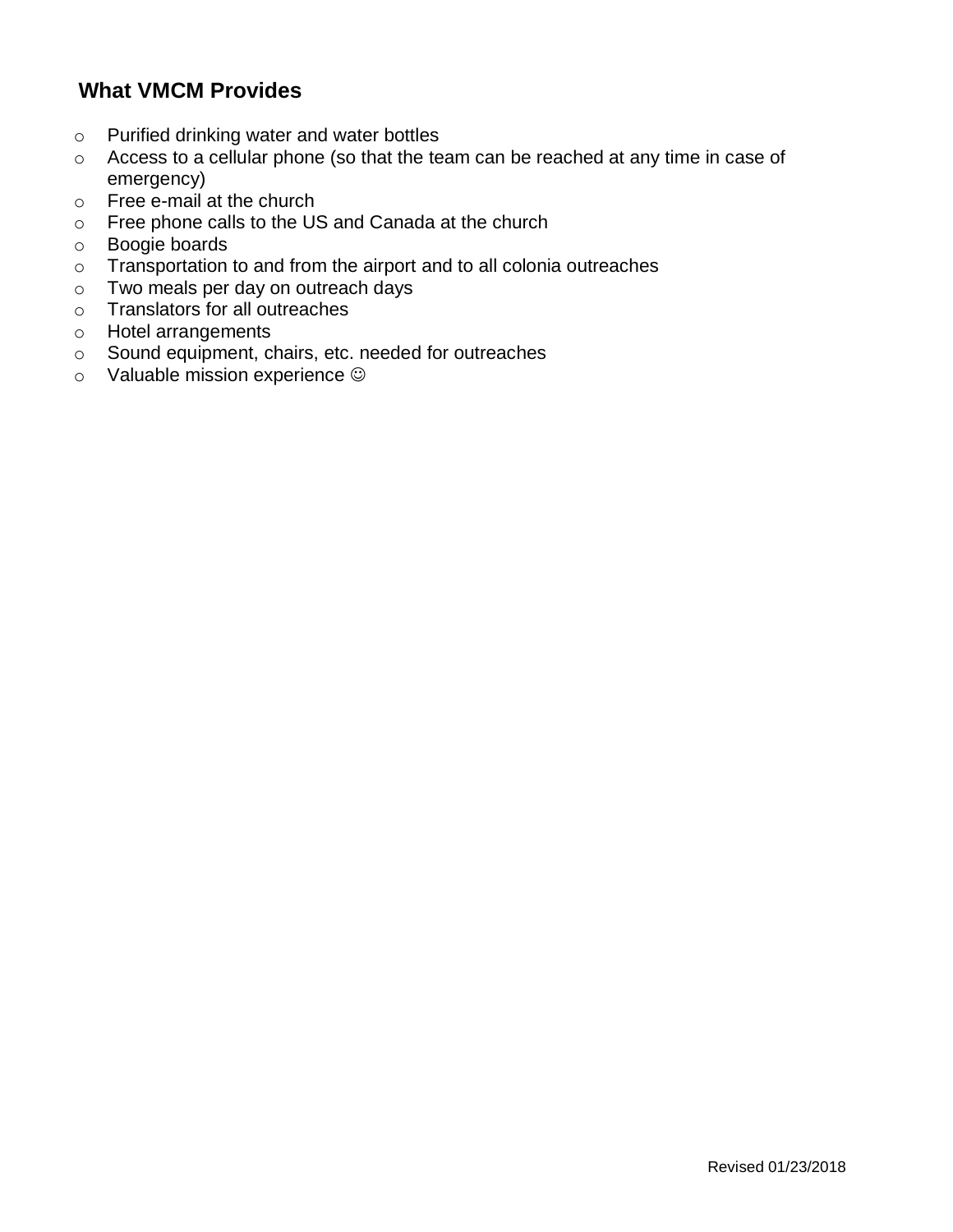# **What VMCM Provides**

- o Purified drinking water and water bottles
- o Access to a cellular phone (so that the team can be reached at any time in case of emergency)
- o Free e-mail at the church
- o Free phone calls to the US and Canada at the church
- o Boogie boards
- o Transportation to and from the airport and to all colonia outreaches
- o Two meals per day on outreach days
- o Translators for all outreaches
- o Hotel arrangements
- o Sound equipment, chairs, etc. needed for outreaches
- o Valuable mission experience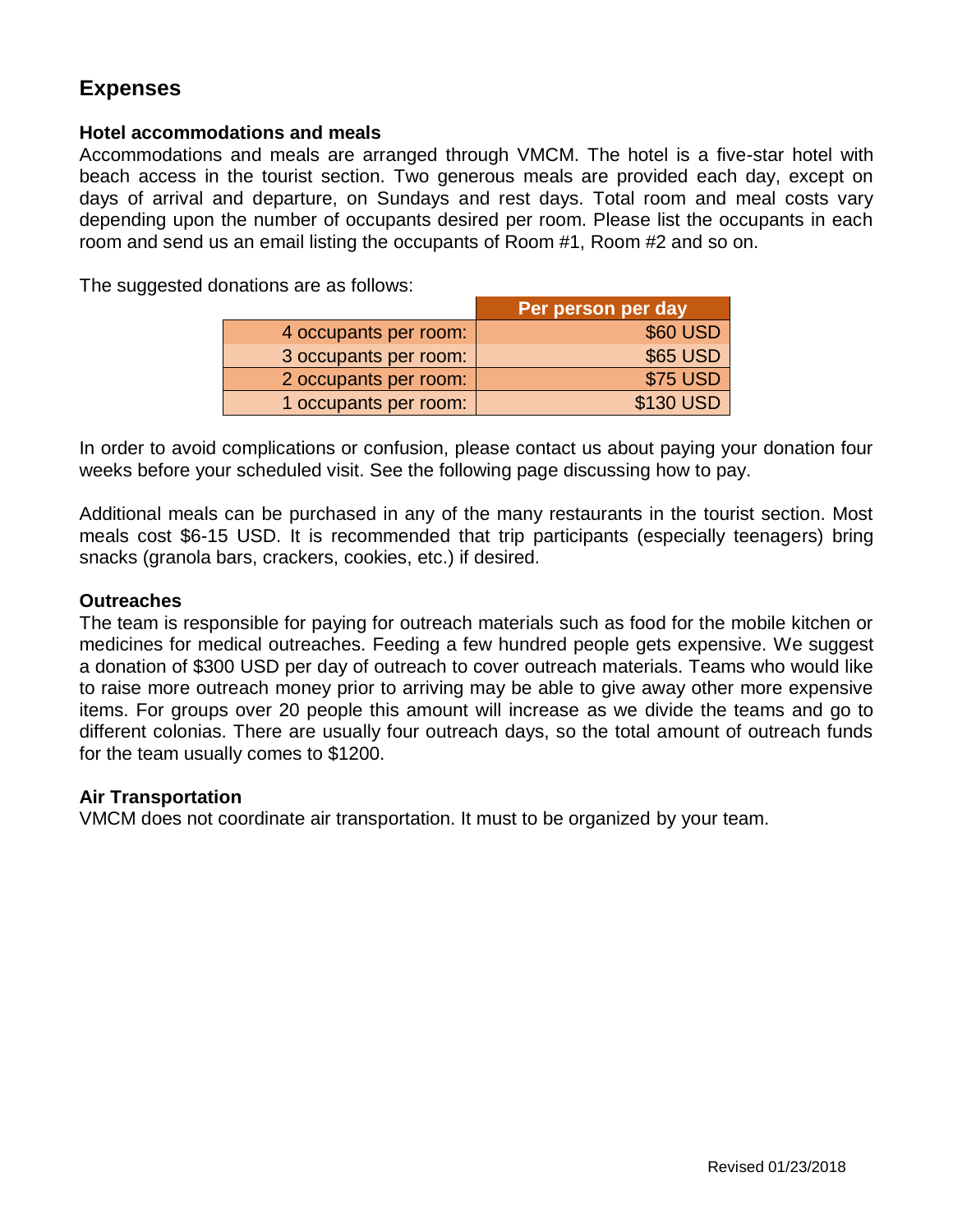# **Expenses**

### **Hotel accommodations and meals**

Accommodations and meals are arranged through VMCM. The hotel is a five-star hotel with beach access in the tourist section. Two generous meals are provided each day, except on days of arrival and departure, on Sundays and rest days. Total room and meal costs vary depending upon the number of occupants desired per room. Please list the occupants in each room and send us an email listing the occupants of Room #1, Room #2 and so on.

The suggested donations are as follows:

|                       | Per person per day |
|-----------------------|--------------------|
| 4 occupants per room: | \$60 USD           |
| 3 occupants per room: | \$65 USD           |
| 2 occupants per room: | <b>\$75 USD</b>    |
| 1 occupants per room: | \$130 USD          |

In order to avoid complications or confusion, please contact us about paying your donation four weeks before your scheduled visit. See the following page discussing how to pay.

Additional meals can be purchased in any of the many restaurants in the tourist section. Most meals cost \$6-15 USD. It is recommended that trip participants (especially teenagers) bring snacks (granola bars, crackers, cookies, etc.) if desired.

## **Outreaches**

The team is responsible for paying for outreach materials such as food for the mobile kitchen or medicines for medical outreaches. Feeding a few hundred people gets expensive. We suggest a donation of \$300 USD per day of outreach to cover outreach materials. Teams who would like to raise more outreach money prior to arriving may be able to give away other more expensive items. For groups over 20 people this amount will increase as we divide the teams and go to different colonias. There are usually four outreach days, so the total amount of outreach funds for the team usually comes to \$1200.

#### **Air Transportation**

VMCM does not coordinate air transportation. It must to be organized by your team.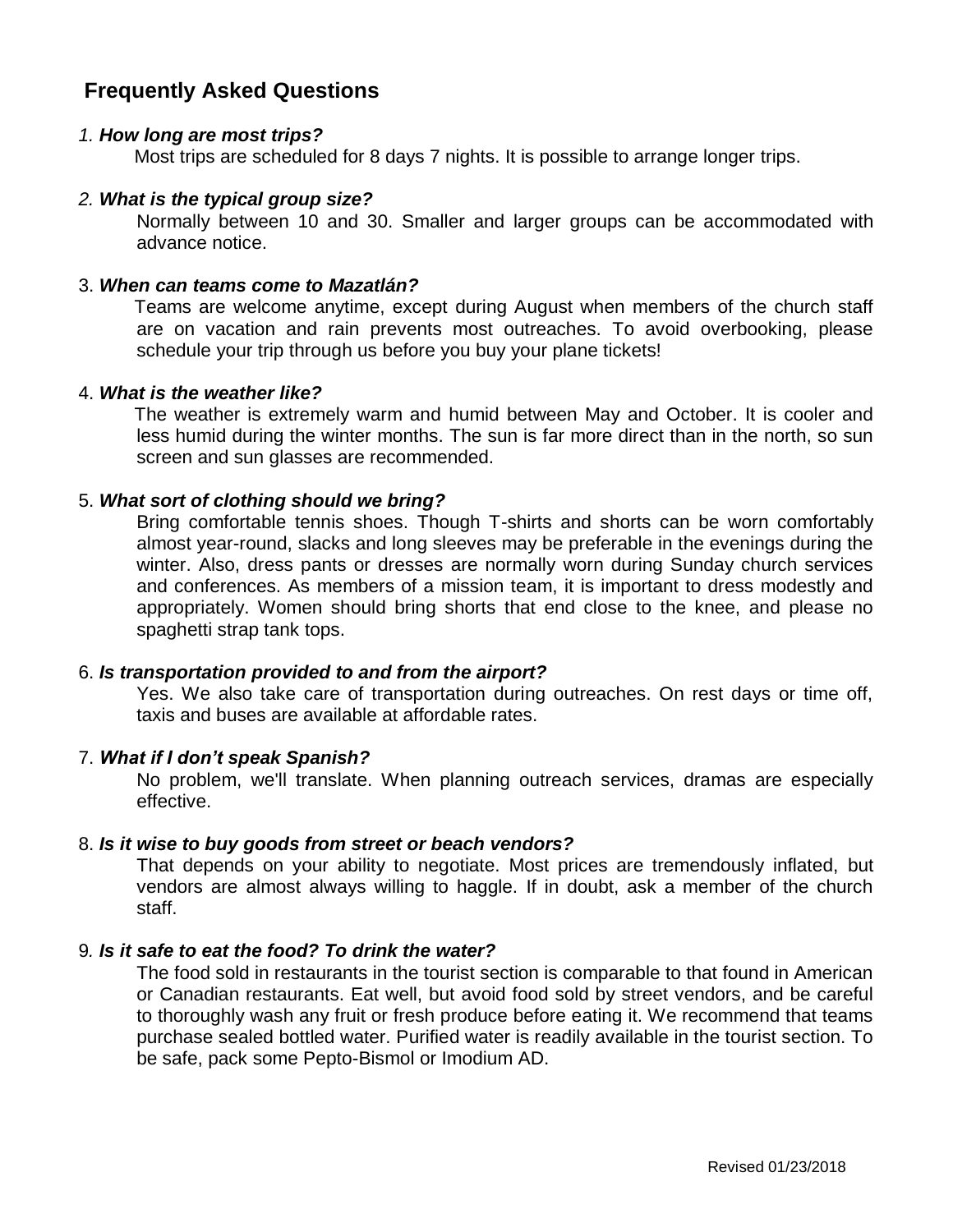# **Frequently Asked Questions**

#### *1. How long are most trips?*

Most trips are scheduled for 8 days 7 nights. It is possible to arrange longer trips.

#### *2. What is the typical group size?*

Normally between 10 and 30. Smaller and larger groups can be accommodated with advance notice.

#### 3. *When can teams come to Mazatlán?*

Teams are welcome anytime, except during August when members of the church staff are on vacation and rain prevents most outreaches. To avoid overbooking, please schedule your trip through us before you buy your plane tickets!

#### 4. *What is the weather like?*

The weather is extremely warm and humid between May and October. It is cooler and less humid during the winter months. The sun is far more direct than in the north, so sun screen and sun glasses are recommended.

#### 5. *What sort of clothing should we bring?*

Bring comfortable tennis shoes. Though T-shirts and shorts can be worn comfortably almost year-round, slacks and long sleeves may be preferable in the evenings during the winter. Also, dress pants or dresses are normally worn during Sunday church services and conferences. As members of a mission team, it is important to dress modestly and appropriately. Women should bring shorts that end close to the knee, and please no spaghetti strap tank tops.

#### 6. *Is transportation provided to and from the airport?*

Yes. We also take care of transportation during outreaches. On rest days or time off, taxis and buses are available at affordable rates.

#### 7. *What if I don't speak Spanish?*

No problem, we'll translate. When planning outreach services, dramas are especially effective.

#### 8. *Is it wise to buy goods from street or beach vendors?*

That depends on your ability to negotiate. Most prices are tremendously inflated, but vendors are almost always willing to haggle. If in doubt, ask a member of the church staff.

### 9*. Is it safe to eat the food? To drink the water?*

The food sold in restaurants in the tourist section is comparable to that found in American or Canadian restaurants. Eat well, but avoid food sold by street vendors, and be careful to thoroughly wash any fruit or fresh produce before eating it. We recommend that teams purchase sealed bottled water. Purified water is readily available in the tourist section. To be safe, pack some Pepto-Bismol or Imodium AD.